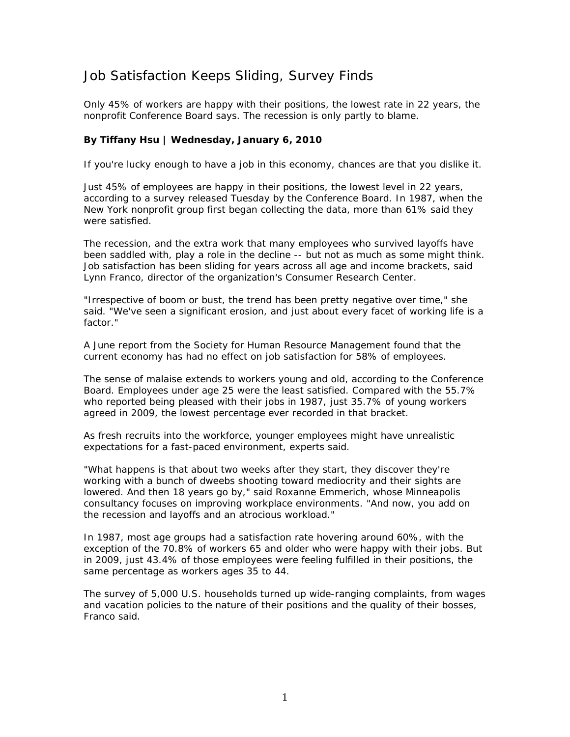## Job Satisfaction Keeps Sliding, Survey Finds

*Only 45% of workers are happy with their positions, the lowest rate in 22 years, the nonprofit Conference Board says. The recession is only partly to blame.* 

## **By Tiffany Hsu | Wednesday, January 6, 2010**

If you're lucky enough to have a job in this economy, chances are that you dislike it.

Just 45% of employees are happy in their positions, the lowest level in 22 years, according to a survey released Tuesday by the Conference Board. In 1987, when the New York nonprofit group first began collecting the data, more than 61% said they were satisfied.

The recession, and the extra work that many employees who survived layoffs have been saddled with, play a role in the decline -- but not as much as some might think. Job satisfaction has been sliding for years across all age and income brackets, said Lynn Franco, director of the organization's Consumer Research Center.

"Irrespective of boom or bust, the trend has been pretty negative over time," she said. "We've seen a significant erosion, and just about every facet of working life is a factor."

A June report from the Society for Human Resource Management found that the current economy has had no effect on job satisfaction for 58% of employees.

The sense of malaise extends to workers young and old, according to the Conference Board. Employees under age 25 were the least satisfied. Compared with the 55.7% who reported being pleased with their jobs in 1987, just 35.7% of young workers agreed in 2009, the lowest percentage ever recorded in that bracket.

As fresh recruits into the workforce, younger employees might have unrealistic expectations for a fast-paced environment, experts said.

"What happens is that about two weeks after they start, they discover they're working with a bunch of dweebs shooting toward mediocrity and their sights are lowered. And then 18 years go by," said Roxanne Emmerich, whose Minneapolis consultancy focuses on improving workplace environments. "And now, you add on the recession and layoffs and an atrocious workload."

In 1987, most age groups had a satisfaction rate hovering around 60%, with the exception of the 70.8% of workers 65 and older who were happy with their jobs. But in 2009, just 43.4% of those employees were feeling fulfilled in their positions, the same percentage as workers ages 35 to 44.

The survey of 5,000 U.S. households turned up wide-ranging complaints, from wages and vacation policies to the nature of their positions and the quality of their bosses, Franco said.